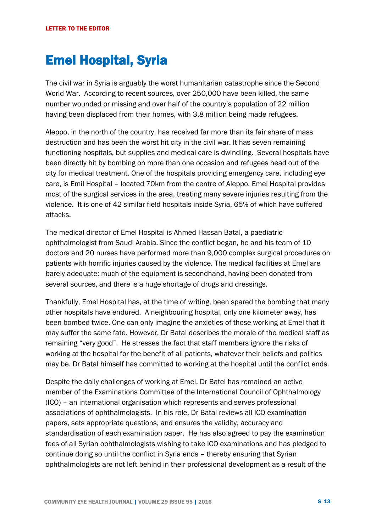## Emel Hospital, Syria

The civil war in Syria is arguably the worst humanitarian catastrophe since the Second World War. According to recent sources, over 250,000 have been killed, the same number wounded or missing and over half of the country's population of 22 million having been displaced from their homes, with 3.8 million being made refugees.

Aleppo, in the north of the country, has received far more than its fair share of mass destruction and has been the worst hit city in the civil war. It has seven remaining functioning hospitals, but supplies and medical care is dwindling. Several hospitals have been directly hit by bombing on more than one occasion and refugees head out of the city for medical treatment. One of the hospitals providing emergency care, including eye care, is Emil Hospital – located 70km from the centre of Aleppo. Emel Hospital provides most of the surgical services in the area, treating many severe injuries resulting from the violence. It is one of 42 similar field hospitals inside Syria, 65% of which have suffered attacks.

The medical director of Emel Hospital is Ahmed Hassan Batal, a paediatric ophthalmologist from Saudi Arabia. Since the conflict began, he and his team of 10 doctors and 20 nurses have performed more than 9,000 complex surgical procedures on patients with horrific injuries caused by the violence. The medical facilities at Emel are barely adequate: much of the equipment is secondhand, having been donated from several sources, and there is a huge shortage of drugs and dressings.

Thankfully, Emel Hospital has, at the time of writing, been spared the bombing that many other hospitals have endured. A neighbouring hospital, only one kilometer away, has been bombed twice. One can only imagine the anxieties of those working at Emel that it may suffer the same fate. However, Dr Batal describes the morale of the medical staff as remaining "very good". He stresses the fact that staff members ignore the risks of working at the hospital for the benefit of all patients, whatever their beliefs and politics may be. Dr Batal himself has committed to working at the hospital until the conflict ends.

Despite the daily challenges of working at Emel, Dr Batel has remained an active member of the Examinations Committee of the International Council of Ophthalmology (ICO) – an international organisation which represents and serves professional associations of ophthalmologists. In his role, Dr Batal reviews all ICO examination papers, sets appropriate questions, and ensures the validity, accuracy and standardisation of each examination paper. He has also agreed to pay the examination fees of all Syrian ophthalmologists wishing to take ICO examinations and has pledged to continue doing so until the conflict in Syria ends – thereby ensuring that Syrian ophthalmologists are not left behind in their professional development as a result of the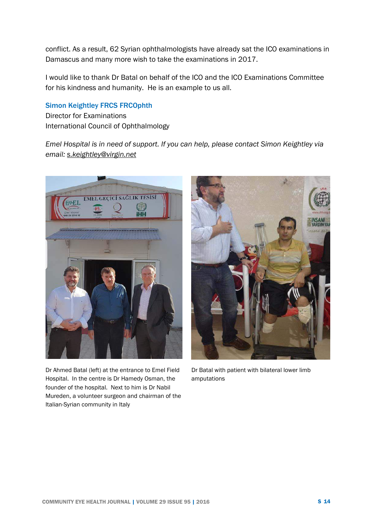conflict. As a result, 62 Syrian ophthalmologists have already sat the ICO examinations in Damascus and many more wish to take the examinations in 2017.

I would like to thank Dr Batal on behalf of the ICO and the ICO Examinations Committee for his kindness and humanity. He is an example to us all.

## Simon Keightley FRCS FRCOphth

Director for Examinations International Council of Ophthalmology

*Emel Hospital is in need of support. If you can help, please contact Simon Keightley via email: [s.keightley@virgin.net](mailto:s.keightley@virgin.net)*



Dr Ahmed Batal (left) at the entrance to Emel Field Hospital. In the centre is Dr Hamedy Osman, the founder of the hospital. Next to him is Dr Nabil Mureden, a volunteer surgeon and chairman of the Italian-Syrian community in Italy



Dr Batal with patient with bilateral lower limb amputations